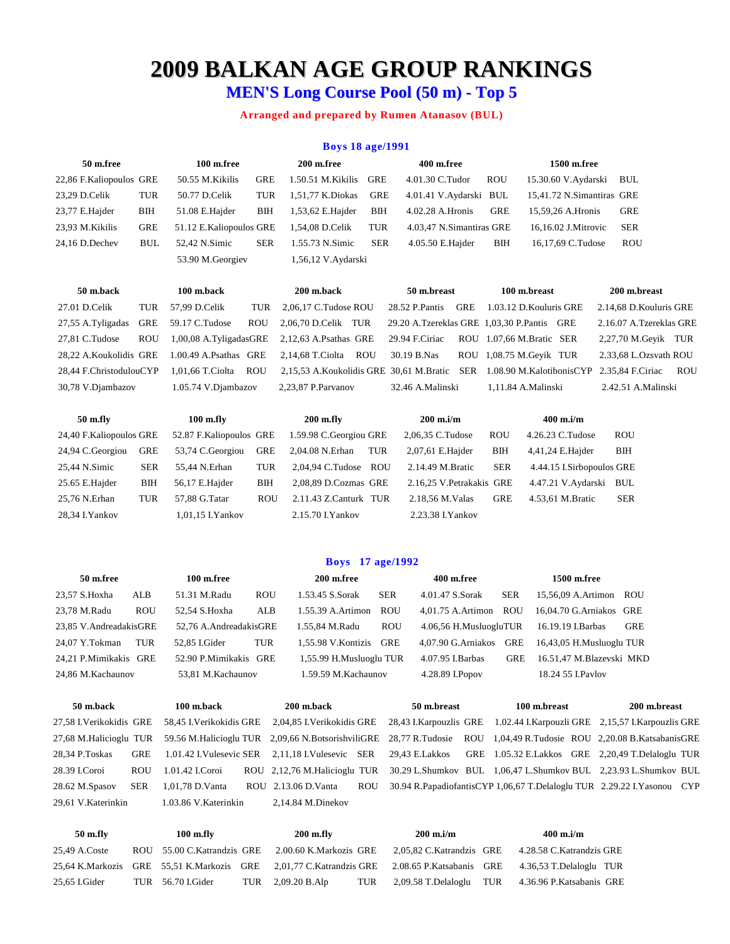# **2009 BALKAN AGE GROUP RANKINGS**

# **MEN'S Long Course Pool (50 m) - Top 5**

# **Arranged and prepared by Rumen Atanasov (BUL)**

|                         |            |                         |            | <b>Boys 18 age/1991</b> |            |                          |            |              |                           |                        |
|-------------------------|------------|-------------------------|------------|-------------------------|------------|--------------------------|------------|--------------|---------------------------|------------------------|
| 50 m.free               |            | 100 m.free              |            | 200 m.free              |            | 400 m.free               |            |              | 1500 m.free               |                        |
| 22,86 F.Kaliopoulos GRE |            | 50.55 M.Kikilis         | GRE        | 1.50.51 M.Kikilis       | <b>GRE</b> | 4.01.30 C.Tudor          |            | <b>ROU</b>   | 15.30.60 V.Aydarski       | BUL                    |
| 23,29 D.Celik           | TUR        | 50.77 D.Celik           | TUR        | 1,51,77 K.Diokas        | GRE        | 4.01.41 V.Aydarski BUL   |            |              | 15,41.72 N.Simantiras GRE |                        |
| 23,77 E.Hajder          | BIH        | 51.08 E.Hajder          | BIH        | 1,53,62 E.Hajder        | BІН        | 4.02.28 A.Hronis         |            | GRE          | 15,59,26 A.Hronis         | GRE                    |
| 23.93 M.Kikilis         | GRE        | 51.12 E.Kaliopoulos GRE |            | 1.54.08 D.Celik         | TUR        | 4.03,47 N.Simantiras GRE |            |              | 16.16.02 J.Mitrovic       | SER                    |
| 24.16 D.Dechev          | <b>BUL</b> | 52.42 N.Simic           | <b>SER</b> | 1.55.73 N.Simic         | <b>SER</b> | 4.05.50 E.Hajder         |            | BIH          | 16,17,69 C.Tudose         | <b>ROU</b>             |
|                         |            | 53.90 M. Georgiev       |            | 1,56,12 V.Aydarski      |            |                          |            |              |                           |                        |
| 50 m.back               |            | 100 m.back              |            | 200 m.back              |            | 50 m.breast              |            | 100 m.breast |                           | 200 m.breast           |
| 27.01 D.Celik           | TUR        | 57.99 D.Celik           | TUR        | 2.06.17 C.Tudose ROU    |            | 28.52 P.Pantis           | <b>GRE</b> |              | 1.03.12 D. Kouluris GRE   | 2.14.68 D.Kouluris GRE |

30,78 V.Djambazov 1.05.74 V.Djambazov 2,23,87 P.Parvanov 32.46 A.Malinski 1,11.84 A.Malinski 2.42.51 A.Malinski

27,55 A.Tyligadas GRE 59.17 C.Tudose ROU 2,06,70 D.Celik TUR 29.20 A.Tzereklas GRE 1,03,30 P.Pantis GRE 2.16.07 A.Tzereklas GRE 27,81 C.Tudose ROU 1,00,08 A.TyligadasGRE 2,12,63 A.Psathas GRE 29.94 F.Ciriac ROU 1.07,66 M.Bratic SER 2,27,70 M.Geyik TUR 28,22 A.Koukolidis GRE 1.00.49 A.Psathas GRE 2,14,68 T.Ciolta ROU 30.19 B.Nas ROU 1,08.75 M.Geyik TUR 2.33,68 L.Ozsvath ROU 28,44 F.ChristodulouCYP 1,01,66 T.Ciolta ROU 2,15,53 A.Koukolidis GRE 30,61 M.Bratic SER 1.08.90 M.KalotibonisCYP 2.35,84 F.Ciriac ROU

| 50 m.fly                |            | $100$ m.fly             |            | $200$ m.fly             |     | $200$ m.i/m              |            | $400 \text{ m}$ .i/m      |            |
|-------------------------|------------|-------------------------|------------|-------------------------|-----|--------------------------|------------|---------------------------|------------|
| 24,40 F.Kaliopoulos GRE |            | 52.87 F.Kaliopoulos GRE |            | 1.59.98 C. Georgiou GRE |     | 2,06,35 C.Tudose         | <b>ROU</b> | 4.26.23 C.Tudose          | <b>ROU</b> |
| 24,94 C.Georgiou        | GRE        | 53,74 C. Georgiou       | <b>GRE</b> | 2,04.08 N.Erhan         | TUR | 2,07,61 E.Hajder         | <b>BIH</b> | 4,41,24 E. Hajder         | BЩ         |
| 25,44 N.Simic           | <b>SER</b> | 55.44 N.Erhan           | <b>TUR</b> | 2.04.94 C.Tudose ROU    |     | 2.14.49 M.Bratic         | <b>SER</b> | 4.44.15 I.Sirbopoulos GRE |            |
| 25.65 E.Hajder          | BІН        | 56,17 E.Hajder          | BIH        | 2,08,89 D.Cozmas GRE    |     | 2.16.25 V.Petrakakis GRE |            | 4.47.21 V.Aydarski BUL    |            |
| 25.76 N.Erhan           | TUR        | 57.88 G.Tatar           | <b>ROU</b> | 2.11.43 Z.Canturk TUR   |     | 2.18.56 M.Valas          | <b>GRE</b> | 4.53,61 M.Bratic          | <b>SER</b> |
| 28,34 I.Yankov          |            | 1,01,15 I.Yankov        |            | 2.15.70 I. Yankov       |     | 2.23.38 I. Yankov        |            |                           |            |
|                         |            |                         |            |                         |     |                          |            |                           |            |

## **Boys 17 age/1992**

| 50 m.free              |            | 100 m.free             |            | 200 m.free              |            | 400 m.free             |            | 1500 m.free              |              |
|------------------------|------------|------------------------|------------|-------------------------|------------|------------------------|------------|--------------------------|--------------|
| 23,57 S.Hoxha          | ALB        | 51.31 M.Radu           | <b>ROU</b> | 1.53.45 S.Sorak         | <b>SER</b> | 4.01.47 S.Sorak        | <b>SER</b> | 15.56.09 A.Artimon ROU   |              |
| 23,78 M.Radu           | <b>ROU</b> | 52.54 S.Hoxha          | ALB        | 1.55.39 A.Artimon       | <b>ROU</b> | 4.01.75 A.Artimon      | <b>ROU</b> | 16.04.70 G.Arniakos GRE  |              |
| 23,85 V.AndreadakisGRE |            | 52,76 A.AndreadakisGRE |            | 1.55,84 M.Radu          | <b>ROU</b> | 4.06,56 H.MusluogluTUR |            | 16.19.19 I.Barbas        | GRE          |
| 24.07 Y.Tokman         | TUR        | 52.85 I.Gider          | TUR        | 1.55.98 V.Kontizis      | GRE        | 4.07.90 G.Arniakos     | GRE        | 16,43,05 H.Musluoglu TUR |              |
| 24.21 P.Mimikakis GRE  |            | 52.90 P.Mimikakis GRE  |            | 1,55.99 H.Musluoglu TUR |            | 4.07.95 I.Barbas       | <b>GRE</b> | 16.51.47 M.Blazevski MKD |              |
| 24.86 M.Kachaunov      |            | 53.81 M. Kachaunov     |            | 1.59.59 M.Kachaunov     |            | 4.28.89 I.Popov        |            | 18.24 55 I.Paylov        |              |
|                        |            |                        |            |                         |            |                        |            |                          |              |
| 50 m.back              |            | 100 m.back             |            | 200 m.back              |            | 50 m.breast            |            | 100 m.breast             | 200 m.breast |

| 27.58 I.Verikokidis GRE |     |                      | 58,45 I.Verikokidis GRE 2,04,85 I.Verikokidis GRE 28,43 I.Karpouzlis GRE 1.02.44 I.Karpouzli GRE 2,15,57 I.Karpouzlis GRE                  |  |  |                                                                               |  |
|-------------------------|-----|----------------------|--------------------------------------------------------------------------------------------------------------------------------------------|--|--|-------------------------------------------------------------------------------|--|
|                         |     |                      | 27,68 M.Halicioglu TUR 59.56 M.Halicioglu TUR 2,09,66 N.BotsorishviliGRE 28,77 R.Tudosie ROU 1,04,49 R.Tudosie ROU 2,20.08 B.KatsabanisGRE |  |  |                                                                               |  |
| 28,34 P.Toskas          | GRE |                      | 1.01.42 I.Vulesevic SER 2.11.18 I.Vulesevic SER 29.43 E.Lakkos GRE 1.05.32 E.Lakkos GRE 2.20.49 T.Delaloglu TUR                            |  |  |                                                                               |  |
| 28.39 I.Coroi           | ROU | 1.01.42 I.Coroi      | ROU 2,12,76 M.Halicioglu TUR 30.29 L.Shumkov BUL 1,06,47 L.Shumkov BUL 2,23.93 L.Shumkov BUL                                               |  |  |                                                                               |  |
| 28.62 M.Spasov          | SER | 1.01.78 D.Vanta      | ROU 2.13.06 D.Vanta                                                                                                                        |  |  | ROU 30.94 R. PapadiofantisCYP 1,06,67 T. Delaloglu TUR 2.29.22 I. Yasonou CYP |  |
| 29,61 V.Katerinkin      |     | 1.03.86 V.Katerinkin | $2,14.84$ M.Dinekov                                                                                                                        |  |  |                                                                               |  |
|                         |     |                      |                                                                                                                                            |  |  |                                                                               |  |

# **50 m.fly 100 m.fly 200 m.fly 200 m.i/m 400 m.i/m** 25,49 A.Coste ROU 55.00 C.Katrandzis GRE 2.00.60 K.Markozis GRE 2,05,82 C.Katrandzis GRE 4.28.58 C.Katrandzis GRE 25,64 K.Markozis GRE 55,51 K.Markozis GRE 2,01,77 C.Katrandzis GRE 2.08.65 P.Katsabanis GRE 4.36,53 T.Delaloglu TUR 25,65 I.Gider TUR 56.70 I.Gider TUR 2,09.20 B.Alp TUR 2,09.58 T.Delaloglu TUR 4.36.96 P.Katsabanis GRE

| 200 M.VM            |                         |
|---------------------|-------------------------|
| 5,82 C.Katrandzis ( |                         |
| 3.65 P.Katsabanis   | $\overline{\mathbf{C}}$ |
| a 58 T Delaloghi    | ٦                       |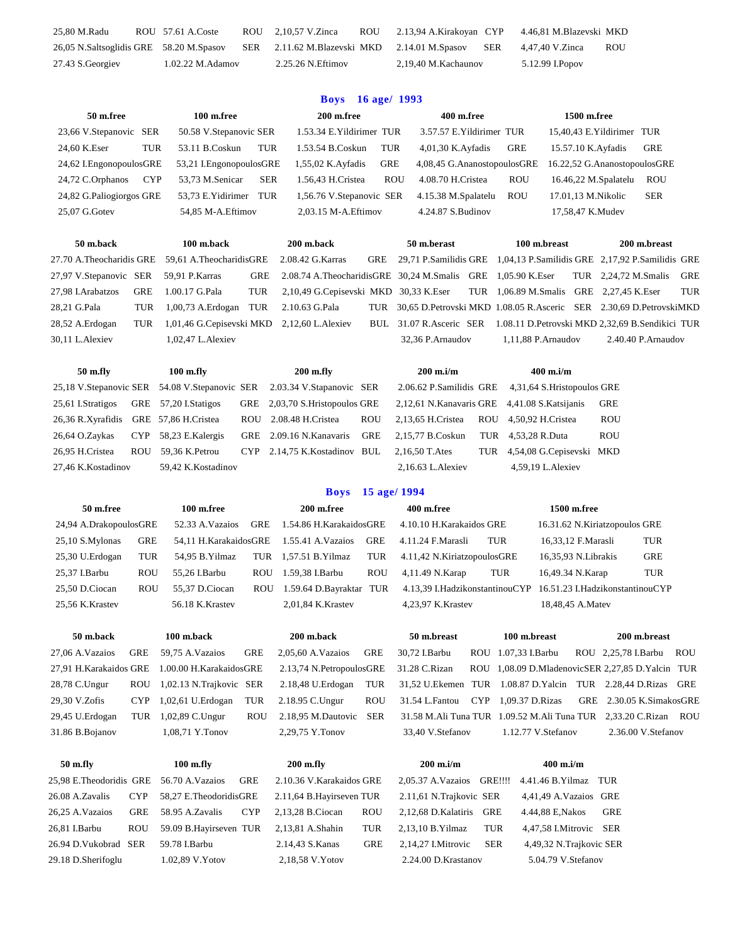| 27.43 S. Georgiev                       | 1.02.22 M.Adamov  | 2.25.26 N.Eftimov           | 2,19,40 M.Kachaunov         |     | 5.12.99 I.Popov         |            |
|-----------------------------------------|-------------------|-----------------------------|-----------------------------|-----|-------------------------|------------|
| 26,05 N.Saltsoglidis GRE 58.20 M.Spasov |                   | SER 2.11.62 M.Blazevski MKD | 2.14.01 M.Spasov            | SER | 4,47,40 V.Zinca         | <b>ROU</b> |
| 25,80 M.Radu                            | ROU 57.61 A.Coste | ROU 2,10,57 V.Zinca         | ROU 2.13,94 A.Kirakoyan CYP |     | 4.46,81 M.Blazevski MKD |            |

### **Boys 16 age/ 1993**

| 50 m.free<br>100 m.free        |                               | 200 m.free                         | 400 m.free                         | 1500 m.free                        |
|--------------------------------|-------------------------------|------------------------------------|------------------------------------|------------------------------------|
| 23,66 V.Stepanovic SER         | 50.58 V.Stepanovic SER        | 1.53.34 E. Yildirimer TUR          | 3.57.57 E. Yildirimer TUR          | 15.40.43 E. Yildirimer TUR         |
| TUR<br>24.60 K.Eser            | <b>TUR</b><br>53.11 B.Coskun  | TUR<br>1.53.54 B.Coskun            | <b>GRE</b><br>$4,01,30$ K. Ayfadis | 15.57.10 K. Ayfadis<br>GRE         |
| 24,62 I.EngonopoulosGRE        | 53,21 I. Engonopoulos GRE     | <b>GRE</b><br>$1,55,02$ K. Ayfadis | 4,08,45 G. AnanostopoulosGRE       | 16.22,52 G.AnanostopoulosGRE       |
| <b>CYP</b><br>24,72 C.Orphanos | <b>SER</b><br>53.73 M.Senicar | <b>ROU</b><br>1.56,43 H.Cristea    | <b>ROU</b><br>4.08.70 H.Cristea    | 16.46,22 M.Spalatelu<br><b>ROU</b> |
| 24,82 G.Paliogiorgos GRE       | 53.73 E. Yidirimer<br>TUR     | 1,56.76 V.Stepanovic SER           | 4.15.38 M.Spalatelu<br><b>ROU</b>  | <b>SER</b><br>17.01.13 M.Nikolic   |
| $25.07$ G. Gotev               | 54.85 M-A. Eftimov            | 2.03.15 M-A. Eftimov               | $4.24.87$ S. Budinov               | 17,58,47 K.Mudev                   |
|                                |                               |                                    |                                    |                                    |
| 50 m.back                      | 100 m.back                    | 200 m.back                         | 50 m.berast                        | 100 m.breast<br>200 m.breast       |

27.70 A.Theocharidis GRE 59,61 A.TheocharidisGRE 2.08.42 G.Karras GRE 29,71 P.Samilidis GRE 1,04,13 P.Samilidis GRE 2,17,92 P.Samilidis GRE 27,97 V.Stepanovic SER 59,91 P.Karras GRE 2.08.74 A.TheocharidisGRE 30,24 M.Smalis GRE 1,05.90 K.Eser TUR 2,24,72 M.Smalis GRE 27,98 I.Arabatzos GRE 1.00.17 G.Pala TUR 2,10,49 G.Cepisevski MKD 30,33 K.Eser TUR 1,06.89 M.Smalis GRE 2,27,45 K.Eser TUR 28,21 G.Pala TUR 1,00,73 A.Erdogan TUR 2.10.63 G.Pala TUR 30,65 D.Petrovski MKD 1.08.05 R.Asceric SER 2.30,69 D.PetrovskiMKD 28,52 A.Erdogan TUR 1,01,46 G.Cepisevski MKD 2,12,60 L.Alexiev BUL 31.07 R.Asceric SER 1.08.11 D.Petrovski MKD 2,32,69 B.Sendikici TUR

# 25,18 V.Stepanovic SER 54.08 V.Stepanovic SER 2.03.34 V.Stapanovic SER 2.06.62 P.Samilidis GRE 4,31,64 S.Hristopoulos GRE 25,61 I.Stratigos GRE 57,20 I.Statigos GRE 2,03,70 S.Hristopoulos GRE 2,12,61 N.Kanavaris GRE 4,41.08 S.Katsijanis GRE 26,36 R.Xyrafidis GRE 57,86 H.Cristea ROU 2.08.48 H.Cristea ROU 2,13,65 H.Cristea ROU 4,50,92 H.Cristea ROU 26,64 O.Zaykas CYP 58,23 E.Kalergis GRE 2.09.16 N.Kanavaris GRE 2,15,77 B.Coskun TUR 4,53,28 R.Duta ROU 26,95 H.Cristea ROU 59,36 K.Petrou CYP 2.14,75 K.Kostadinov BUL 2,16,50 T.Ates TUR 4,54,08 G.Cepisevski MKD

30,11 L.Alexiev 1,02,47 L.Alexiev 32,36 P.Arnaudov 1,11,88 P.Arnaudov 2.40.40 P.Arnaudov **50 m.fly 100 m.fly 200 m.fly 200 m.i/m 400 m.i/m**

| 2.06.62 P.Samilidis GF |    |
|------------------------|----|
| 2,12,61 N.Kanavaris GF |    |
| 2.13,65 H.Cristea      | RC |
| 2.15,77 B.Coskun       | Τl |
| 2.16.50 T.Ates         | TI |
| $2.16621 \pm 1.1$      |    |

27,46 K.Kostadinov 59,42 K.Kostadinov 2,16.63 L.Alexiev 4,59,19 L.Alexiev

### **Boys 15 age/ 1994**

| 50 m.free              |            | 100 m.free            |            | 200 m.free              |            | 400 m.free                  |     | 1500 m.free                                                    |     |
|------------------------|------------|-----------------------|------------|-------------------------|------------|-----------------------------|-----|----------------------------------------------------------------|-----|
| 24,94 A.DrakopoulosGRE |            | 52.33 A.Vazaios       | GRE        | 1.54.86 H.KarakaidosGRE |            | 4.10.10 H.Karakaidos GRE    |     | 16.31.62 N.Kiriatzopoulos GRE                                  |     |
| $25,10$ S.Mylonas      | <b>GRE</b> | 54.11 H.KarakaidosGRE |            | 1.55.41 A. Vazaios      | GRE        | 4.11.24 F.Marasli           | TUR | 16,33,12 F.Marasli                                             | TUR |
| 25,30 U.Erdogan        | TUR        | 54.95 B.Yilmaz        |            | TUR 1,57.51 B.Yilmaz    | TUR        | 4.11.42 N.KiriatzopoulosGRE |     | 16,35,93 N.Librakis                                            | GRE |
| 25,37 I.Barbu          | <b>ROU</b> | 55.26 I.Barbu         | <b>ROU</b> | 1.59.38 I.Barbu         | <b>ROU</b> | 4,11.49 N. Karap            | TUR | 16,49.34 N.Karap                                               | TUR |
| 25,50 D.Ciocan         | <b>ROU</b> | 55.37 D.Ciocan        | <b>ROU</b> | 1.59.64 D.Bayraktar TUR |            |                             |     | 4.13.39 I.HadzikonstantinouCYP 16.51.23 I.HadzikonstantinouCYP |     |
| 25,56 K.Krastev        |            | 56.18 K.Krastev       |            | 2,01,84 K.Krastev       |            | 4,23,97 K.Krastev           |     | 18,48,45 A.Matev                                               |     |
|                        |            |                       |            |                         |            |                             |     |                                                                |     |
|                        |            |                       |            |                         |            |                             |     |                                                                |     |

**50 m.back 100 m.back 200 m.back 50 m.breast 100 m.breast 200 m.breast**

27,06 A.Vazaios GRE 59,75 A.Vazaios GRE 2,05,60 A.Vazaios GRE 30,72 I.Barbu ROU 1.07,33 I.Barbu ROU 2,25,78 I.Barbu ROU 27,91 H.Karakaidos GRE 1.00.00 H.KarakaidosGRE 2.13,74 N.PetropoulosGRE 31.28 C.Rizan ROU 1,08.09 D.MladenovicSER 2,27,85 D.Yalcin TUR 28,78 C.Ungur ROU 1,02.13 N.Trajkovic SER 2.18,48 U.Erdogan TUR 31,52 U.Ekemen TUR 1.08.87 D.Yalcin TUR 2.28,44 D.Rizas GRE 29,30 V.Zofis CYP 1,02,61 U.Erdogan TUR 2.18.95 C.Ungur ROU 31.54 L.Fantou CYP 1,09.37 D.Rizas GRE 2.30.05 K.SimakosGRE 29,45 U.Erdogan TUR 1,02,89 C.Ungur ROU 2.18,95 M.Dautovic SER 31.58 M.Ali Tuna TUR 1.09.52 M.Ali Tuna TUR 2,33.20 C.Rizan ROU 31.86 B.Bojanov 1,08,71 Y.Tonov 2,29,75 Y.Tonov 33,40 V.Stefanov 1.12.77 V.Stefanov 2.36.00 V.Stefanov

| 50 m.fly                                |            | $100$ m.fly            |            | $200$ m.fly              |            | $200 \text{ m}$ .i/m                           |            | $400$ m.i/m             |     |
|-----------------------------------------|------------|------------------------|------------|--------------------------|------------|------------------------------------------------|------------|-------------------------|-----|
| 25.98 E.Theodoridis GRE 56.70 A.Vazaios |            |                        | <b>GRE</b> | 2.10.36 V.Karakaidos GRE |            | 2.05.37 A.Vazaios GRE!!!! 4.41.46 B.Yilmaz TUR |            |                         |     |
| 26.08 A.Zavalis                         | <b>CYP</b> | 58,27 E.TheodoridisGRE |            | 2.11,64 B.Hayirseven TUR |            | 2.11,61 N.Trajkovic SER                        |            | 4,41,49 A.Vazaios GRE   |     |
| 26,25 A. Vazaios                        | GRE        | 58.95 A.Zavalis        | <b>CYP</b> | 2.13.28 B.Ciocan         | <b>ROU</b> | 2.12.68 D.Kalatiris                            | GRE        | 4.44.88 E.Nakos         | GRE |
| 26,81 I.Barbu                           | <b>ROU</b> | 59.09 B.Hayirseven TUR |            | 2,13,81 A.Shahin         | TUR        | 2.13.10 B. Yilmaz                              | TUR        | 4.47.58 I.Mitrovic SER  |     |
| 26.94 D. Vukobrad SER                   |            | 59.78 I.Barbu          |            | 2.14.43 S.Kanas          | GRE        | 2.14.27 I.Mitrovic                             | <b>SER</b> | 4,49,32 N.Trajkovic SER |     |
| 29.18 D.Sherifoglu                      |            | 1.02.89 V.Yotov        |            | 2,18,58 V.Yotov          |            | 2.24.00 D.Krastanov                            |            | 5.04.79 V.Stefanov      |     |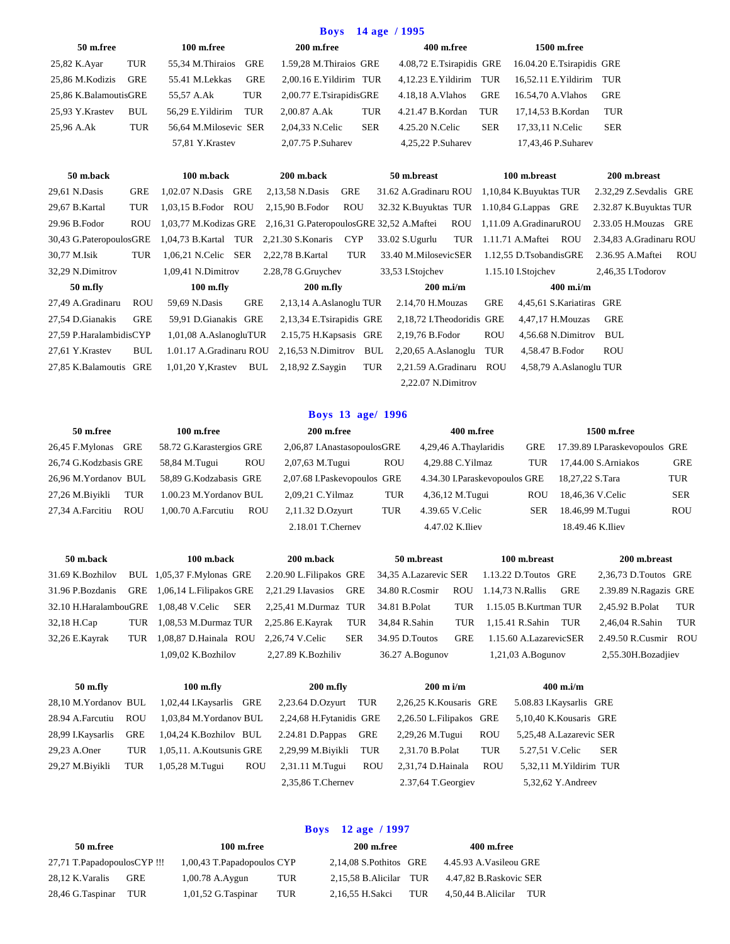|                          |            |                         |            | <b>Boys</b>                              |            | 14 age / 1995              |            |                           |                         |            |  |
|--------------------------|------------|-------------------------|------------|------------------------------------------|------------|----------------------------|------------|---------------------------|-------------------------|------------|--|
| 50 m.free                |            | 100 m.free              |            | 200 m.free                               |            | 400 m.free                 |            | 1500 m.free               |                         |            |  |
| 25,82 K.Ayar             | <b>TUR</b> | 55,34 M.Thiraios        | <b>GRE</b> | 1.59,28 M.Thiraios GRE                   |            | 4.08,72 E.Tsirapidis GRE   |            | 16.04.20 E.Tsirapidis GRE |                         |            |  |
| 25,86 M.Kodizis          | <b>GRE</b> | 55.41 M.Lekkas          | <b>GRE</b> | 2,00.16 E.Yildirim TUR                   |            | 4,12.23 E. Yildirim        | TUR        | 16,52.11 E.Yildirim       | TUR                     |            |  |
| 25,86 K.BalamoutisGRE    |            | 55,57 A.Ak              | TUR        | 2,00.77 E.TsirapidisGRE                  |            | 4.18,18 A. Vlahos          | <b>GRE</b> | 16.54,70 A.Vlahos         | <b>GRE</b>              |            |  |
| 25,93 Y.Krastev          | <b>BUL</b> | 56,29 E. Yildirim       | <b>TUR</b> | 2,00.87 A.Ak                             | <b>TUR</b> | 4.21.47 B.Kordan           | TUR        | 17,14,53 B.Kordan         | <b>TUR</b>              |            |  |
| 25,96 A.Ak               | TUR        | 56,64 M.Milosevic SER   |            | 2,04,33 N.Celic                          | <b>SER</b> | 4.25.20 N.Celic            | <b>SER</b> | 17,33,11 N.Celic          | <b>SER</b>              |            |  |
|                          |            | 57,81 Y.Krastev         |            | 2,07.75 P.Suharev                        |            | 4,25,22 P.Suharev          |            | 17,43,46 P.Suharev        |                         |            |  |
|                          |            |                         |            |                                          |            |                            |            |                           |                         |            |  |
| 50 m.back                |            | 100 m.back              |            | 200 m.back                               |            | 50 m.breast                |            | 100 m.breast              | 200 m.breast            |            |  |
| 29,61 N.Dasis            | <b>GRE</b> | 1,02.07 N.Dasis GRE     |            | 2,13,58 N.Dasis                          | <b>GRE</b> | 31.62 A.Gradinaru ROU      |            | 1,10,84 K.Buyuktas TUR    | 2.32,29 Z.Sevdalis GRE  |            |  |
| 29,67 B.Kartal           | TUR        | 1,03,15 B.Fodor ROU     |            | 2,15,90 B.Fodor                          | <b>ROU</b> | 32.32 K.Buyuktas TUR       |            | 1.10,84 G.Lappas GRE      | 2.32.87 K.Buyuktas TUR  |            |  |
| 29.96 B.Fodor            | ROU        | 1,03,77 M.Kodizas GRE   |            | 2,16,31 G.PateropoulosGRE 32,52 A.Maftei |            |                            | ROU        | 1,11.09 A.GradinaruROU    | 2.33.05 H.Mouzas GRE    |            |  |
| 30,43 G.PateropoulosGRE  |            | 1,04,73 B.Kartal TUR    |            | 2,21.30 S.Konaris                        | <b>CYP</b> | 33.02 S.Ugurlu             | <b>TUR</b> | 1.11.71 A.Maftei ROU      | 2.34,83 A.Gradinaru ROU |            |  |
| 30,77 M.Isik             | <b>TUR</b> | 1,06,21 N.Celic SER     |            | 2,22,78 B.Kartal                         | TUR        | 33.40 M.MilosevicSER       |            | 1.12,55 D.TsobandisGRE    | 2.36.95 A.Maftei        | <b>ROU</b> |  |
| 32,29 N.Dimitrov         |            | 1,09,41 N.Dimitrov      |            | 2.28,78 G.Gruychev                       |            | 33,53 I.Stojchev           |            | 1.15.10 I.Stojchev        | 2,46,35 I.Todorov       |            |  |
| 50 m.fly                 |            | $100$ m.fly             |            | $200$ m.fly                              |            | $200$ m.i/m                |            | $400$ m.i/m               |                         |            |  |
| 27,49 A.Gradinaru        | <b>ROU</b> | 59,69 N.Dasis           | <b>GRE</b> | 2,13,14 A.Aslanoglu TUR                  |            | 2.14,70 H.Mouzas           | <b>GRE</b> | 4,45,61 S. Kariatiras     | GRE                     |            |  |
| 27,54 D.Gianakis         | <b>GRE</b> | 59,91 D.Gianakis GRE    |            | 2,13,34 E.Tsirapidis GRE                 |            | 2,18,72 I. Theodoridis GRE |            | 4,47,17 H.Mouzas          | <b>GRE</b>              |            |  |
| 27,59 P.HaralambidisCYP  |            | 1,01,08 A.AslanogluTUR  |            | 2.15,75 H.Kapsasis GRE                   |            | 2,19,76 B.Fodor            | <b>ROU</b> | 4,56.68 N.Dimitrov        | <b>BUL</b>              |            |  |
| 27,61 Y.Krastev          | <b>BUL</b> | 1.01.17 A.Gradinaru ROU |            | 2,16,53 N.Dimitrov                       | BUL        | 2,20,65 A.Aslanoglu        | <b>TUR</b> | 4,58.47 B.Fodor           | <b>ROU</b>              |            |  |
| 27,85 K.Balamoutis GRE   |            | $1,01,20$ Y, Krastev    | BUL        | 2,18,92 Z.Saygin                         | <b>TUR</b> | 2,21.59 A.Gradinaru        | <b>ROU</b> | 4,58,79 A.Aslanoglu TUR   |                         |            |  |
| 2,22.07 N.Dimitrov       |            |                         |            |                                          |            |                            |            |                           |                         |            |  |
|                          |            |                         |            |                                          |            |                            |            |                           |                         |            |  |
| <b>Boys</b> 13 age/ 1996 |            |                         |            |                                          |            |                            |            |                           |                         |            |  |

# **50 m.free 100 m.free 200 m.free 400 m.free 1500 m.free** 26,45 F.Mylonas GRE 58.72 G.Karastergios GRE 2,06,87 I.AnastasopoulosGRE 4,29,46 A.Thaylaridis GRE 17.39.89 I.Paraskevopoulos GRE 26,74 G.Kodzbasis GRE 58,84 M.Tugui ROU 2,07,63 M.Tugui ROU 4,29.88 C.Yilmaz TUR 17,44.00 S.Arniakos GRE 26,96 M.Yordanov BUL 58,89 G.Kodzabasis GRE 2,07.68 I.Paskevopoulos GRE 4.34.30 I.Paraskevopoulos GRE 18,27,22 S.Tara TUR 27,26 M.Biyikli TUR 1.00.23 M.Yordanov BUL 2,09,21 C.Yilmaz TUR 4,36,12 M.Tugui ROU 18,46,36 V.Celic SER 27,34 A.Farcitiu ROU 1,00.70 A.Farcutiu ROU 2,11.32 D.Ozyurt TUR 4.39.65 V.Celic SER 18.46,99 M.Tugui ROU 2.18.01 T.Chernev 4.47.02 K.Iliev 18.49.46 K.Iliev

| 50 m.back             |            | 100 m.back                    | 200 m.back              |                    | 50 m.breast           |                 | 100 m.breast           |                     | 200 m.breast          |                    |
|-----------------------|------------|-------------------------------|-------------------------|--------------------|-----------------------|-----------------|------------------------|---------------------|-----------------------|--------------------|
| 31.69 K. Bozhilov     |            | BUL 1,05,37 F.Mylonas GRE     | 2.20.90 L.Filipakos GRE |                    | 34,35 A.Lazarevic SER |                 | 1.13.22 D.Toutos GRE   |                     | 2,36,73 D.Toutos GRE  |                    |
| 31.96 P.Bozdanis      | <b>GRE</b> | 1,06,14 L. Filipakos GRE      | 2,21.29 I. Iavasios     | GRE                | 34.80 R.Cosmir        | <b>ROU</b>      | 1.14,73 N.Rallis       | <b>GRE</b>          | 2.39.89 N.Ragazis GRE |                    |
| 32.10 H.HaralambouGRE |            | 1.08.48 V.Celic<br><b>SER</b> | 2,25,41 M.Durmaz TUR    |                    | 34.81 B.Polat         | TUR             | 1.15.05 B.Kurtman TUR  |                     | 2.45.92 B.Polat       | TUR                |
| 32,18 H.Cap           | TUR        | 1,08,53 M.Durmaz TUR          | 2,25.86 E.Kayrak        | TUR                | 34,84 R.Sahin         | TUR             | 1.15.41 R.Sahin        | TUR                 | 2.46.04 R.Sahin       | <b>TUR</b>         |
| 32,26 E.Kayrak        | TUR        | 1,08,87 D.Hainala ROU         | 2,26,74 V.Celic         | <b>SER</b>         | 34.95 D.Toutos        | <b>GRE</b>      | 1.15.60 A.LazarevicSER |                     | 2.49.50 R.Cusmir ROU  |                    |
|                       |            | 1.09.02 K.Bozhilov            |                         | 2.27.89 K.Bozhiliv |                       | 36.27 A.Bogunov |                        | $1,21,03$ A.Bogunov |                       | 2,55.30H.Bozadjiev |
|                       |            |                               |                         |                    |                       |                 |                        |                     |                       |                    |
| 50 m.fly              |            | $100$ m.fly                   | $200$ m.fly             |                    | $200 \text{ m}$ i/m   |                 |                        | $400$ m.i/m         |                       |                    |

|                   |            | 28,10 M. Yordanov BUL 1,02,44 I. Kaysarlis GRE 2,23.64 D. Ozyurt TUR |     |                          |     | 2,26,25 K.Kousaris GRE  |            | 5.08.83 I.Kaysarlis GRE |     |
|-------------------|------------|----------------------------------------------------------------------|-----|--------------------------|-----|-------------------------|------------|-------------------------|-----|
| 28.94 A.Farcutiu  | <b>ROU</b> | 1,03,84 M. Yordanov BUL                                              |     | 2,24,68 H. Fytanidis GRE |     | 2,26.50 L.Filipakos GRE |            | 5,10,40 K.Kousaris GRE  |     |
| 28,99 I.Kaysarlis | GRE        | 1,04,24 K.Bozhilov BUL                                               |     | 2.24.81 D.Pappas GRE     |     | 2,29,26 M.Tugui         | <b>ROU</b> | 5,25,48 A.Lazarevic SER |     |
| 29,23 A.Oner      | TUR        | 1,05,11. A.Koutsunis GRE                                             |     | 2,29,99 M.Biyikli TUR    |     | 2,31.70 B.Polat         | TUR        | 5.27,51 V.Celic         | SER |
| 29,27 M.Biyikli   | TUR        | 1,05,28 M.Tugui                                                      | ROU | 2,31.11 M.Tugui          | ROU | 2,31,74 D.Hainala ROU   |            | 5,32,11 M.Yildirim TUR  |     |
|                   |            |                                                                      |     | $2,35,86$ T. Cherney     |     | 2.37,64 T. Georgiev     |            | 5,32,62 Y. Andreev      |     |
|                   |            |                                                                      |     |                          |     |                         |            |                         |     |

# **Boys 12 age / 1997 50 m.free 100 m.free 200 m.free 400 m.free** 27,71 T.PapadopoulosCYP !!! 1,00,43 T.Papadopoulos CYP 2,14,08 S.Pothitos GRE 4.45.93 A.Vasileou GRE 28,12 K.Varalis GRE 1,00.78 A.Aygun TUR 2,15,58 B.Alicilar TUR 4.47,82 B.Raskovic SER 28,46 G.Taspinar TUR 1,01,52 G.Taspinar TUR 2,16,55 H.Sakci TUR 4,50,44 B.Alicilar TUR